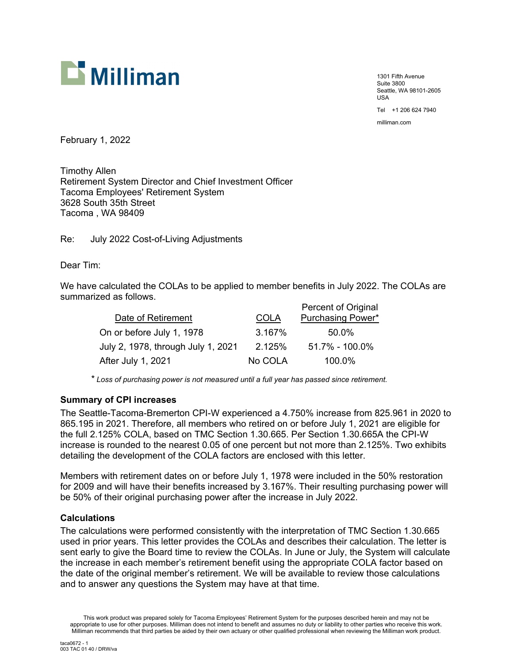

1301 Fifth Avenue Suite 3800 Seattle, WA 98101-2605 USA

Tel +1 206 624 7940

milliman.com

February 1, 2022

Timothy Allen Retirement System Director and Chief Investment Officer Tacoma Employees' Retirement System 3628 South 35th Street Tacoma , WA 98409

Re: July 2022 Cost-of-Living Adjustments

Dear Tim:

We have calculated the COLAs to be applied to member benefits in July 2022. The COLAs are summarized as follows.

|                                    |             | Percent of Original      |
|------------------------------------|-------------|--------------------------|
| Date of Retirement                 | <b>COLA</b> | <b>Purchasing Power*</b> |
| On or before July 1, 1978          | 3.167%      | 50.0%                    |
| July 2, 1978, through July 1, 2021 | 2.125%      | 51.7% - 100.0%           |
| After July 1, 2021                 | No COLA     | 100.0%                   |

*\* Loss of purchasing power is not measured until a full year has passed since retirement.*

# **Summary of CPI increases**

The Seattle-Tacoma-Bremerton CPI-W experienced a 4.750% increase from 825.961 in 2020 to 865.195 in 2021. Therefore, all members who retired on or before July 1, 2021 are eligible for the full 2.125% COLA, based on TMC Section 1.30.665. Per Section 1.30.665A the CPI-W increase is rounded to the nearest 0.05 of one percent but not more than 2.125%. Two exhibits detailing the development of the COLA factors are enclosed with this letter.

Members with retirement dates on or before July 1, 1978 were included in the 50% restoration for 2009 and will have their benefits increased by 3.167%. Their resulting purchasing power will be 50% of their original purchasing power after the increase in July 2022.

# **Calculations**

The calculations were performed consistently with the interpretation of TMC Section 1.30.665 used in prior years. This letter provides the COLAs and describes their calculation. The letter is sent early to give the Board time to review the COLAs. In June or July, the System will calculate the increase in each member's retirement benefit using the appropriate COLA factor based on the date of the original member's retirement. We will be available to review those calculations and to answer any questions the System may have at that time.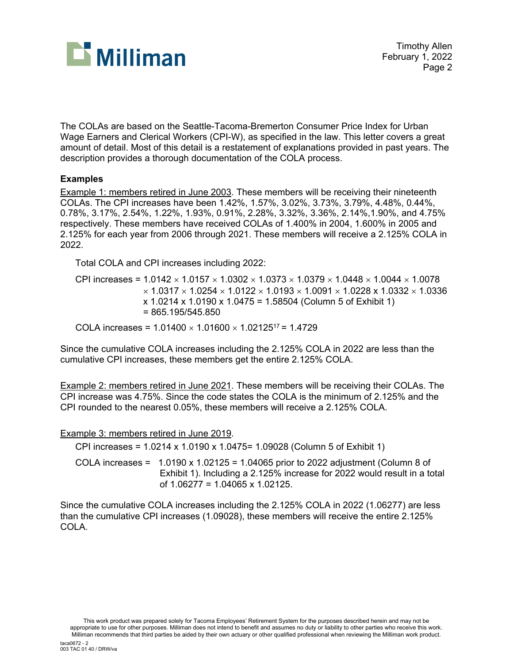

The COLAs are based on the Seattle-Tacoma-Bremerton Consumer Price Index for Urban Wage Earners and Clerical Workers (CPI-W), as specified in the law. This letter covers a great amount of detail. Most of this detail is a restatement of explanations provided in past years. The description provides a thorough documentation of the COLA process.

# **Examples**

Example 1: members retired in June 2003. These members will be receiving their nineteenth COLAs. The CPI increases have been 1.42%, 1.57%, 3.02%, 3.73%, 3.79%, 4.48%, 0.44%, 0.78%, 3.17%, 2.54%, 1.22%, 1.93%, 0.91%, 2.28%, 3.32%, 3.36%, 2.14%,1.90%, and 4.75% respectively. These members have received COLAs of 1.400% in 2004, 1.600% in 2005 and 2.125% for each year from 2006 through 2021. These members will receive a 2.125% COLA in 2022.

Total COLA and CPI increases including 2022:

CPI increases =  $1.0142 \times 1.0157 \times 1.0302 \times 1.0373 \times 1.0379 \times 1.0448 \times 1.0044 \times 1.0078$  $\times$  1.0317  $\times$  1.0254  $\times$  1.0122  $\times$  1.0193  $\times$  1.0091  $\times$  1.0228  $\times$  1.0332  $\times$  1.0336 x 1.0214 x 1.0190 x 1.0475 = 1.58504 (Column 5 of Exhibit 1)  $= 865.195/545.850$ 

COLA increases =  $1.01400 \times 1.01600 \times 1.02125^{17} = 1.4729$ 

Since the cumulative COLA increases including the 2.125% COLA in 2022 are less than the cumulative CPI increases, these members get the entire 2.125% COLA.

Example 2: members retired in June 2021. These members will be receiving their COLAs. The CPI increase was 4.75%. Since the code states the COLA is the minimum of 2.125% and the CPI rounded to the nearest 0.05%, these members will receive a 2.125% COLA.

Example 3: members retired in June 2019.

CPI increases = 1.0214 x 1.0190 x 1.0475= 1.09028 (Column 5 of Exhibit 1)

COLA increases =  $1.0190 \times 1.02125 = 1.04065$  prior to 2022 adjustment (Column 8 of Exhibit 1). Including a 2.125% increase for 2022 would result in a total of 1.06277 = 1.04065 x 1.02125.

Since the cumulative COLA increases including the 2.125% COLA in 2022 (1.06277) are less than the cumulative CPI increases (1.09028), these members will receive the entire 2.125% COLA.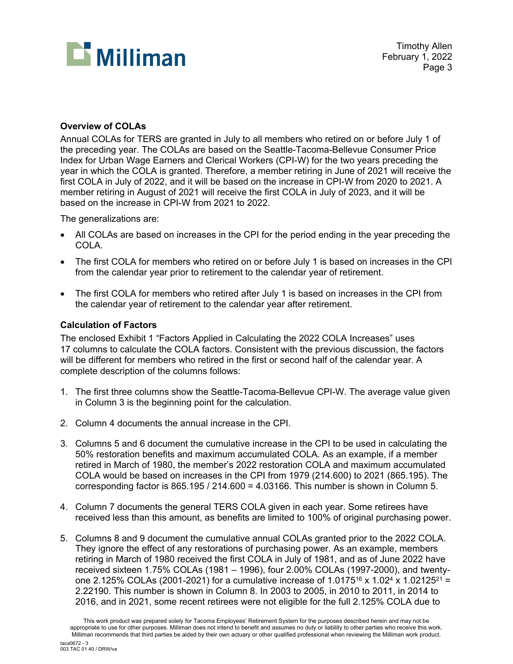

# **Overview of COLAs**

Annual COLAs for TERS are granted in July to all members who retired on or before July 1 of the preceding year. The COLAs are based on the Seattle-Tacoma-Bellevue Consumer Price Index for Urban Wage Earners and Clerical Workers (CPI-W) for the two years preceding the year in which the COLA is granted. Therefore, a member retiring in June of 2021 will receive the first COLA in July of 2022, and it will be based on the increase in CPI-W from 2020 to 2021. A member retiring in August of 2021 will receive the first COLA in July of 2023, and it will be based on the increase in CPI-W from 2021 to 2022.

The generalizations are:

- All COLAs are based on increases in the CPI for the period ending in the year preceding the COLA.
- The first COLA for members who retired on or before July 1 is based on increases in the CPI from the calendar year prior to retirement to the calendar year of retirement.
- The first COLA for members who retired after July 1 is based on increases in the CPI from the calendar year of retirement to the calendar year after retirement.

# **Calculation of Factors**

The enclosed Exhibit 1 "Factors Applied in Calculating the 2022 COLA Increases" uses 17 columns to calculate the COLA factors. Consistent with the previous discussion, the factors will be different for members who retired in the first or second half of the calendar year. A complete description of the columns follows:

- 1. The first three columns show the Seattle-Tacoma-Bellevue CPI-W. The average value given in Column 3 is the beginning point for the calculation.
- 2. Column 4 documents the annual increase in the CPI.
- 3. Columns 5 and 6 document the cumulative increase in the CPI to be used in calculating the 50% restoration benefits and maximum accumulated COLA. As an example, if a member retired in March of 1980, the member's 2022 restoration COLA and maximum accumulated COLA would be based on increases in the CPI from 1979 (214.600) to 2021 (865.195). The corresponding factor is  $865.195 / 214.600 = 4.03166$ . This number is shown in Column 5.
- 4. Column 7 documents the general TERS COLA given in each year. Some retirees have received less than this amount, as benefits are limited to 100% of original purchasing power.
- 5. Columns 8 and 9 document the cumulative annual COLAs granted prior to the 2022 COLA. They ignore the effect of any restorations of purchasing power. As an example, members retiring in March of 1980 received the first COLA in July of 1981, and as of June 2022 have received sixteen 1.75% COLAs (1981 – 1996), four 2.00% COLAs (1997-2000), and twentyone 2.125% COLAs (2001-2021) for a cumulative increase of 1.0175<sup>16</sup> x 1.02<sup>4</sup> x 1.02125<sup>21</sup> = 2.22190. This number is shown in Column 8. In 2003 to 2005, in 2010 to 2011, in 2014 to 2016, and in 2021, some recent retirees were not eligible for the full 2.125% COLA due to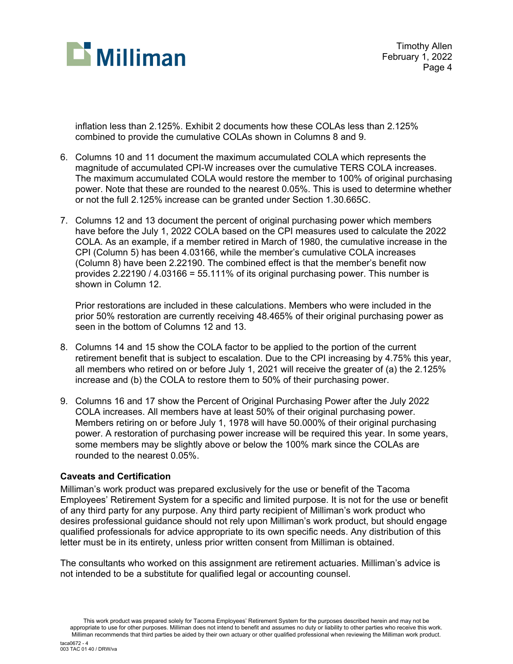

Timothy Allen February 1, 2022 Page 4

inflation less than 2.125%. Exhibit 2 documents how these COLAs less than 2.125% combined to provide the cumulative COLAs shown in Columns 8 and 9.

- 6. Columns 10 and 11 document the maximum accumulated COLA which represents the magnitude of accumulated CPI-W increases over the cumulative TERS COLA increases. The maximum accumulated COLA would restore the member to 100% of original purchasing power. Note that these are rounded to the nearest 0.05%. This is used to determine whether or not the full 2.125% increase can be granted under Section 1.30.665C.
- 7. Columns 12 and 13 document the percent of original purchasing power which members have before the July 1, 2022 COLA based on the CPI measures used to calculate the 2022 COLA. As an example, if a member retired in March of 1980, the cumulative increase in the CPI (Column 5) has been 4.03166, while the member's cumulative COLA increases (Column 8) have been 2.22190. The combined effect is that the member's benefit now provides 2.22190 / 4.03166 = 55.111% of its original purchasing power. This number is shown in Column 12.

Prior restorations are included in these calculations. Members who were included in the prior 50% restoration are currently receiving 48.465% of their original purchasing power as seen in the bottom of Columns 12 and 13.

- 8. Columns 14 and 15 show the COLA factor to be applied to the portion of the current retirement benefit that is subject to escalation. Due to the CPI increasing by 4.75% this year, all members who retired on or before July 1, 2021 will receive the greater of (a) the 2.125% increase and (b) the COLA to restore them to 50% of their purchasing power.
- 9. Columns 16 and 17 show the Percent of Original Purchasing Power after the July 2022 COLA increases. All members have at least 50% of their original purchasing power. Members retiring on or before July 1, 1978 will have 50.000% of their original purchasing power. A restoration of purchasing power increase will be required this year. In some years, some members may be slightly above or below the 100% mark since the COLAs are rounded to the nearest 0.05%.

# **Caveats and Certification**

Milliman's work product was prepared exclusively for the use or benefit of the Tacoma Employees' Retirement System for a specific and limited purpose. It is not for the use or benefit of any third party for any purpose. Any third party recipient of Milliman's work product who desires professional guidance should not rely upon Milliman's work product, but should engage qualified professionals for advice appropriate to its own specific needs. Any distribution of this letter must be in its entirety, unless prior written consent from Milliman is obtained.

The consultants who worked on this assignment are retirement actuaries. Milliman's advice is not intended to be a substitute for qualified legal or accounting counsel.

This work product was prepared solely for Tacoma Employees' Retirement System for the purposes described herein and may not be appropriate to use for other purposes. Milliman does not intend to benefit and assumes no duty or liability to other parties who receive this work. Milliman recommends that third parties be aided by their own actuary or other qualified professional when reviewing the Milliman work product.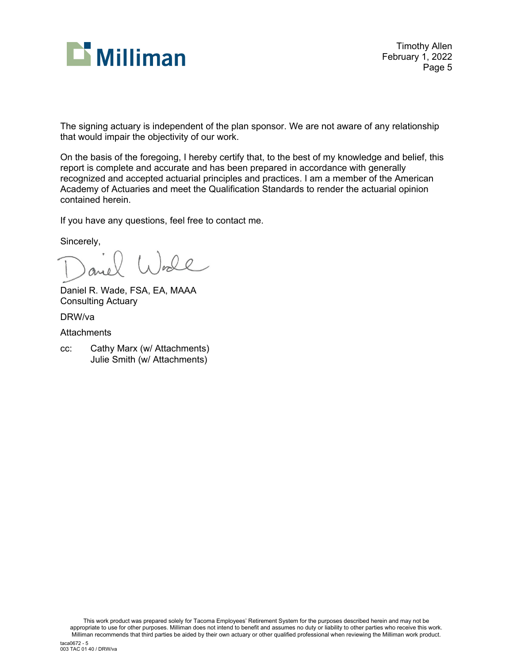

Timothy Allen February 1, 2022 Page 5

The signing actuary is independent of the plan sponsor. We are not aware of any relationship that would impair the objectivity of our work.

On the basis of the foregoing, I hereby certify that, to the best of my knowledge and belief, this report is complete and accurate and has been prepared in accordance with generally recognized and accepted actuarial principles and practices. I am a member of the American Academy of Actuaries and meet the Qualification Standards to render the actuarial opinion contained herein.

If you have any questions, feel free to contact me.

Sincerely,

Daniel R. Wade, FSA, EA, MAAA Consulting Actuary

DRW/va

**Attachments** 

cc: Cathy Marx (w/ Attachments) Julie Smith (w/ Attachments)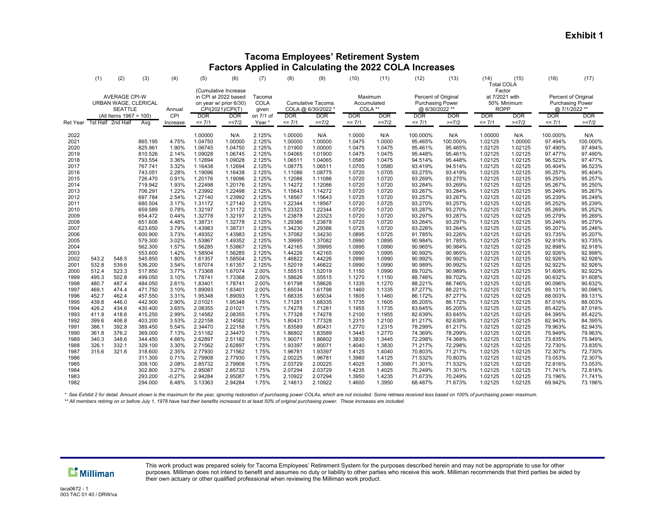#### **Tacoma Employees' Retirement System Factors Applied in Calculating the 2022 COLA Increases**

|                                      | (1)                                                                                      | (2)                                       | (3)                                                 | (4)                                       | (5)                                                 | (6)                                                                                                                    | (7)                                            | (8)                                                               | (9)                                                 | (10)                                                          | (11)                                           | (12)                                                                           | (13)                                                | (14)<br><b>Total COLA</b>                                                          | (15)                                                | (16)                                                                                        | (17)                                                |
|--------------------------------------|------------------------------------------------------------------------------------------|-------------------------------------------|-----------------------------------------------------|-------------------------------------------|-----------------------------------------------------|------------------------------------------------------------------------------------------------------------------------|------------------------------------------------|-------------------------------------------------------------------|-----------------------------------------------------|---------------------------------------------------------------|------------------------------------------------|--------------------------------------------------------------------------------|-----------------------------------------------------|------------------------------------------------------------------------------------|-----------------------------------------------------|---------------------------------------------------------------------------------------------|-----------------------------------------------------|
|                                      | <b>AVERAGE CPI-W</b><br>URBAN WAGE, CLERICAL<br><b>SEATTLE</b><br>(All Items 1967 = 100) |                                           | Annual<br>CPI                                       |                                           |                                                     | (Cumulative Increase<br>in CPI at 2022 based<br>on year w/ prior 6/30)<br>CPI(2021)/CPI(T)<br><b>DOR</b><br><b>DOR</b> |                                                | Cumulative Tacoma<br>COLA @ 6/30/2022<br><b>DOR</b><br><b>DOR</b> |                                                     | Maximum<br>Accumulated<br>COLA **<br><b>DOR</b><br><b>DOR</b> |                                                | Percent of Original<br><b>Purchasing Power</b><br>@ 6/30/2022 **<br><b>DOR</b> | <b>DOR</b>                                          | Factor<br>at 7/2021 with<br>50% Minimum<br><b>ROPP</b><br><b>DOR</b><br><b>DOR</b> |                                                     | Percent of Original<br><b>Purchasing Power</b><br>@ 7/1/2022 **<br><b>DOR</b><br><b>DOR</b> |                                                     |
| Ret Year                             | 1st Half                                                                                 | 2nd Half                                  | Avg                                                 | Increase                                  | $= 7/1$                                             | $>=7/2$                                                                                                                | on 7/1 of<br>Year                              | $= 7/1$                                                           | $>=7/2$                                             | $= 7/1$                                                       | $>=7/2$                                        | $= 7/1$                                                                        | $>=7/2$                                             | <= 7/1                                                                             | $>=7/2$                                             | $= 7/1$                                                                                     | $>=7/2$                                             |
| 2022<br>2021<br>2020<br>2019<br>2018 |                                                                                          |                                           | 865.195<br>825.961<br>810.526<br>793.554            | 4.75%<br>1.90%<br>2.14%<br>3.36%          | 1.00000<br>1.04750<br>1.06745<br>1.09028<br>1.12694 | N/A<br>1.00000<br>1.04750<br>1.06745<br>1.09028                                                                        | 2.125%<br>2.125%<br>2.125%<br>2.125%<br>2.125% | 1.00000<br>1.00000<br>1.01900<br>1.04065<br>1.06511               | N/A<br>1.00000<br>1.00000<br>1.01900<br>1.04065     | 1.0000<br>1.0475<br>1.0475<br>1.0475<br>1.0580                | N/A<br>1.0000<br>1.0475<br>1.0475<br>1.0475    | 100.000%<br>95.465%<br>95.461%<br>95.448%<br>94.514%                           | N/A<br>100.000%<br>95.465%<br>95.461%<br>95.448%    | 1.00000<br>1.02125<br>1.02125<br>1.02125<br>1.02125                                | N/A<br>1.00000<br>1.02125<br>1.02125<br>1.02125     | 100.000%<br>97.494%<br>97.490%<br>97.477%<br>96.523%                                        | N/A<br>100.000%<br>97.494%<br>97.490%<br>97.477%    |
| 2017<br>2016<br>2015<br>2014<br>2013 |                                                                                          |                                           | 767.741<br>743.051<br>726.470<br>719.942<br>706.291 | 3.32%<br>2.28%<br>0.91%<br>1.93%<br>1.22% | 1.16438<br>1.19096<br>1.20176<br>1.22498<br>1.23992 | 1.12694<br>1.16438<br>1.19096<br>1.20176<br>1.22498                                                                    | 2.125%<br>2.125%<br>2.125%<br>2.125%<br>2.125% | 1.08775<br>1.11086<br>1.12086<br>1.14272<br>1.15643               | 1.06511<br>1.08775<br>1.11086<br>1.12086<br>1.14272 | 1.0705<br>1.0720<br>1.0720<br>1.0720<br>1.0720                | 1.0580<br>1.0705<br>1.0720<br>1.0720<br>1.0720 | 93.419%<br>93.275%<br>93.269%<br>93.284%<br>93.267%                            | 94.514%<br>93.419%<br>93.275%<br>93.269%<br>93.284% | 1.02125<br>1.02125<br>1.02125<br>1.02125<br>1.02125                                | 1.02125<br>1.02125<br>1.02125<br>1.02125<br>1.02125 | 95.404%<br>95.257%<br>95.250%<br>95.267%<br>95.249%                                         | 96.523%<br>95.404%<br>95.257%<br>95.250%<br>95.267% |
| 2012<br>2011<br>2010<br>2009<br>2008 |                                                                                          |                                           | 697.784<br>680.504<br>659.589<br>654.472<br>651.608 | 2.54%<br>3.17%<br>0.78%<br>0.44%<br>4.48% | 1.27140<br>1.31172<br>1.32197<br>1.32778<br>1.38731 | 1.23992<br>1.27140<br>1.31172<br>1.32197<br>1.32778                                                                    | 2.125%<br>2.125%<br>2.125%<br>2.125%<br>2.125% | 1.18567<br>1.22344<br>1.23323<br>1.23878<br>1.29386               | 1.15643<br>1.18567<br>1.22344<br>1.23323<br>1.23878 | 1.0725<br>1.0720<br>1.0720<br>1.0720<br>1.0720                | 1.0720<br>1.0725<br>1.0720<br>1.0720<br>1.0720 | 93.257%<br>93.270%<br>93.287%<br>93.297%<br>93.264%                            | 93.267%<br>93.257%<br>93.270%<br>93.287%<br>93.297% | 1.02125<br>1.02125<br>1.02125<br>1.02125<br>1.02125                                | 1.02125<br>1.02125<br>1.02125<br>1.02125<br>1.02125 | 95.239%<br>95.252%<br>95.269%<br>95.279%<br>95.246%                                         | 95.249%<br>95.239%<br>95.252%<br>95.269%<br>95.279% |
| 2007<br>2006<br>2005<br>2004         |                                                                                          |                                           | 623.650<br>600.900<br>579.300<br>562.300            | 3.79%<br>3.73%<br>3.02%<br>1.57%          | 1.43983<br>1.49352<br>1.53867<br>1.56285            | 1.38731<br>1.43983<br>1.49352<br>1.53867                                                                               | 2.125%<br>2.125%<br>2.125%<br>2.125%           | 1.34230<br>1.37082<br>1.39995<br>1.42165                          | 1.29386<br>1.34230<br>1.37082<br>1.39995            | 1.0725<br>1.0895<br>1.0990<br>1.0995                          | 1.0720<br>1.0725<br>1.0895<br>1.0990           | 93.226%<br>91.785%<br>90.984%<br>90.965%                                       | 93.264%<br>93.226%<br>91.785%<br>90.984%            | 1.02125<br>1.02125<br>1.02125<br>1.02125                                           | 1.02125<br>1.02125<br>1.02125<br>1.02125            | 95.207%<br>93.735%<br>92.918%<br>92.898%                                                    | 95.246%<br>95.207%<br>93.735%<br>92.918%            |
| 2003<br>2002<br>2001<br>2000<br>1999 | 543.2<br>532.8<br>512.4<br>495.3                                                         | 548.5<br>539.6<br>523.3<br>502.8          | 553.600<br>545.850<br>536.200<br>517.850<br>499.050 | 1.42%<br>1.80%<br>3.54%<br>3.77%<br>3.10% | 1.58504<br>1.61357<br>1.67074<br>1.73368<br>1.78741 | 1.56285<br>1.58504<br>1.61357<br>1.67074<br>1.73368                                                                    | 2.125%<br>2.125%<br>2.125%<br>2.00%<br>2.00%   | 1.44226<br>1.46822<br>1.52019<br>1.55515<br>1.58626               | 1.42165<br>1.44226<br>1.46822<br>1.52019<br>1.55515 | 1.0990<br>1.0990<br>1.0990<br>1.1150<br>1.1270                | 1.0995<br>1.0990<br>1.0990<br>1.0990<br>1.1150 | 90.992%<br>90.992%<br>90.989%<br>89.702%<br>88.746%                            | 90.965%<br>90.992%<br>90.992%<br>90.989%<br>89.702% | 1.02125<br>1.02125<br>1.02125<br>1.02125<br>1.02125                                | 1.02125<br>1.02125<br>1.02125<br>1.02125<br>1.02125 | 92.926%<br>92.926%<br>92.922%<br>91.608%<br>90.632%                                         | 92.898%<br>92.926%<br>92.926%<br>92.922%<br>91.608% |
| 1998<br>1997<br>1996<br>1995<br>1994 | 480.7<br>469.1<br>452.7<br>439.8<br>426.2                                                | 487.4<br>474.4<br>462.4<br>446.0<br>434.6 | 484.050<br>471.750<br>457.550<br>442.900<br>430.400 | 2.61%<br>3.10%<br>3.31%<br>2.90%<br>3.65% | 1.83401<br>1.89093<br>1.95348<br>2.01021<br>2.08355 | 1.78741<br>1.83401<br>1.89093<br>1.95348<br>2.01021                                                                    | 2.00%<br>2.00%<br>1.75%<br>1.75%<br>1.75%      | 1.61798<br>1.65034<br>1.68335<br>1.71281<br>1.74278               | 1.58626<br>1.61798<br>1.65034<br>1.68335<br>1.71281 | 1.1335<br>1.1460<br>1.1605<br>1.1735<br>1.1955                | 1.1270<br>1.1335<br>1.1460<br>1.1605<br>1.1735 | 88.221%<br>87.277%<br>86.172%<br>85.205%<br>83.645%                            | 88.746%<br>88.221%<br>87.277%<br>86.172%<br>85.205% | 1.02125<br>1.02125<br>1.02125<br>1.02125<br>1.02125                                | 1.02125<br>1.02125<br>1.02125<br>1.02125<br>1.02125 | 90.096%<br>89.131%<br>88.003%<br>87.016%<br>85.422%                                         | 90.632%<br>90.096%<br>89.131%<br>88.003%<br>87.016% |
| 1993<br>1992<br>1991<br>1990<br>1989 | 411.9<br>399.6<br>386.1<br>361.8<br>340.3                                                | 418.6<br>406.8<br>392.8<br>376.2<br>348.6 | 415.250<br>403.200<br>389.450<br>369,000<br>344.450 | 2.99%<br>3.53%<br>5.54%<br>7.13%<br>4.66% | 2.14582<br>2.22158<br>2.34470<br>2.51182<br>2.62897 | 2.08355<br>2.14582<br>2.22158<br>2.34470<br>2.51182                                                                    | 1.75%<br>1.75%<br>1.75%<br>1.75%<br>1.75%      | 1.77328<br>1.80431<br>1.83589<br>1.86802<br>1.90071               | 1.74278<br>1.77328<br>1.80431<br>1.83589<br>1.86802 | 1.2100<br>1.2315<br>1.2770<br>1.3445<br>1.3830                | 1.1955<br>1.2100<br>1.2315<br>1.2770<br>1.3445 | 82.639%<br>81.217%<br>78.299%<br>74.369%<br>72.298%                            | 83.645%<br>82.639%<br>81.217%<br>78.299%<br>74.369% | 1.02125<br>1.02125<br>1.02125<br>1.02125<br>1.02125                                | 1.02125<br>1.02125<br>1.02125<br>1.02125<br>1.02125 | 84.395%<br>82.943%<br>79.963%<br>75.949%<br>73.835%                                         | 85.422%<br>84.395%<br>82.943%<br>79.963%<br>75.949% |
| 1988<br>1987<br>1986<br>1985         | 326.1<br>315.6                                                                           | 332.1<br>321.6                            | 329.100<br>318.600<br>311.300<br>309.100            | 3.30%<br>2.35%<br>0.71%<br>2.08%          | 2.71562<br>2.77930<br>2.79908<br>2.85732            | 2.62897<br>2.71562<br>2.77930<br>2.79908                                                                               | 1.75%<br>1.75%<br>1.75%<br>1.75%               | 1.93397<br>1.96781<br>2.00225<br>2.03729                          | 1.90071<br>1.93397<br>1.96781<br>2.00225            | 1.4040<br>1.4125<br>1.3980<br>1.4025                          | 1.3830<br>1.4040<br>1.4125<br>1.3980           | 71.217%<br>70.803%<br>71.532%<br>71.301%                                       | 72.298%<br>71.217%<br>70.803%<br>71.532%            | 1.02125<br>1.02125<br>1.02125<br>1.02125                                           | 1.02125<br>1.02125<br>1.02125<br>1.02125            | 72.730%<br>72.307%<br>73.053%<br>72.816%                                                    | 73.835%<br>72.730%<br>72.307%<br>73.053%            |
| 1984<br>1983<br>1982                 |                                                                                          |                                           | 302.800<br>293.200<br>294.000                       | 3.27%<br>$-0.27%$<br>6.48%                | 2.95087<br>2.94284<br>3.13363                       | 2.85732<br>2.95087<br>2.94284                                                                                          | 1.75%<br>1.75%<br>1.75%                        | 2.07294<br>2.10922<br>2.14613                                     | 2.03729<br>2.07294<br>2.10922                       | 1.4235<br>1.3950<br>1.4600                                    | 1.4025<br>1.4235<br>1.3950                     | 70.249%<br>71.673%<br>68.487%                                                  | 71.301%<br>70.249%<br>71.673%                       | 1.02125<br>1.02125<br>1.02125                                                      | 1.02125<br>1.02125<br>1.02125                       | 71.741%<br>73.196%<br>69.942%                                                               | 72.816%<br>71.741%<br>73.196%                       |

 *\* See Exhibit 2 for detail. Amount shown is the maximum for the year, ignoring restoration of purchasing power COLAs, which are not included. Some retirees received less based on 100% of purchasing power maximum.*

 *\*\* All members retiring on or before July 1, 1978 have had their benefits increased to at least 50% of original purchasing power. These increases are included.*

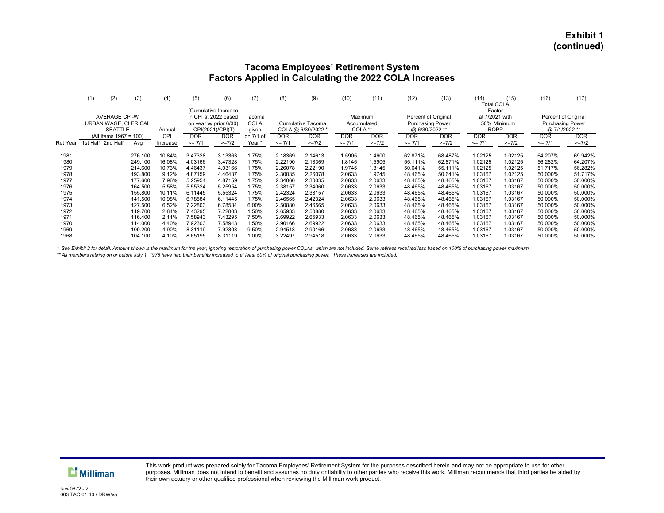#### **Tacoma Employees' Retirement System Factors Applied in Calculating the 2022 COLA Increases**

|                 | (2)<br>(1)             | (3)                                                                                    | (4)        | (5)                    | (6)                   | (7)       | (8)               | (9)     | (10)        | (11)       | (12)                    | (13)       | (14)<br><b>Total COLA</b> | (15)        | (16)                    | (17)       |  |
|-----------------|------------------------|----------------------------------------------------------------------------------------|------------|------------------------|-----------------------|-----------|-------------------|---------|-------------|------------|-------------------------|------------|---------------------------|-------------|-------------------------|------------|--|
|                 |                        |                                                                                        |            |                        | (Cumulative Increase) |           |                   |         |             |            |                         |            | Factor                    |             |                         |            |  |
|                 | <b>AVERAGE CPI-W</b>   |                                                                                        |            | in CPI at 2022 based   |                       | Tacoma    |                   |         | Maximum     |            | Percent of Original     |            | at 7/2021 with            |             | Percent of Original     |            |  |
|                 | URBAN WAGE, CLERICAL   |                                                                                        |            | on year w/ prior 6/30) |                       | COLA      | Cumulative Tacoma |         | Accumulated |            | <b>Purchasing Power</b> |            |                           | 50% Minimum | <b>Purchasing Power</b> |            |  |
|                 |                        | COLA **<br>COLA @ 6/30/2022 *<br><b>SEATTLE</b><br>CPI(2021)/CPI(T)<br>Annual<br>given |            |                        |                       |           | @ 6/30/2022 **    |         | <b>ROPP</b> |            | @ 7/1/2022 **           |            |                           |             |                         |            |  |
|                 | (All Items 1967 = 100) |                                                                                        | <b>CPI</b> | <b>DOR</b>             | <b>DOR</b>            | on 7/1 of | <b>DOR</b>        | DOR     | <b>DOR</b>  | <b>DOR</b> | <b>DOR</b>              | <b>DOR</b> | <b>DOR</b>                | <b>DOR</b>  | <b>DOR</b>              | <b>DOR</b> |  |
| <b>Ret Year</b> | 1st Half<br>2nd Half   | Ava                                                                                    | Increase   | $= 7/1$                | $>=7/2$               | Year      | $= 7/1$           | $>=7/2$ | $= 7/1$     | $>=7/2$    | $= 7/1$                 | $>=7/2$    | $= 7/1$                   | $>=7/2$     | $= 7/1$                 | $>=7/2$    |  |
|                 |                        |                                                                                        |            |                        |                       |           |                   |         |             |            |                         |            |                           |             |                         |            |  |
| 1981            |                        | 276.100                                                                                | 10.84%     | 3.47328                | 3.13363               | 1.75%     | 2.18369           | 2.14613 | 1.5905      | 1.4600     | 62.871%                 | 68.487%    | 1.02125                   | 1.02125     | 64.207%                 | 69.942%    |  |
| 1980            |                        | 249.100                                                                                | 16.08%     | 4.03166                | 3.47328               | 1.75%     | 2.22190           | 2.18369 | 1.8145      | .5905      | 55.111%                 | 62.871%    | 1.02125                   | 1.02125     | 56.282%                 | 64.207%    |  |
| 1979            |                        | 214.600                                                                                | 10.73%     | 4.46437                | 4.03166               | 1.75%     | 2.26078           | 2.22190 | 1.9745      | 1.8145     | 50.641%                 | 55.111%    | 1.02125                   | 1.02125     | 51.717%                 | 56.282%    |  |
| 1978            |                        | 193.800                                                                                | 9.12%      | 4.87159                | 4.46437               | 1.75%     | 2.30035           | 2.26078 | 2.0633      | 1.9745     | 48.465%                 | 50.641%    | 1.03167                   | 1.02125     | 50.000%                 | 51.717%    |  |
| 1977            |                        | 177.600                                                                                | 7.96%      | 5.25954                | 4.87159               | 1.75%     | 2.34060           | 2.30035 | 2.0633      | 2.0633     | 48.465%                 | 48.465%    | 1.03167                   | 1.03167     | 50.000%                 | 50.000%    |  |
| 1976            |                        | 164.500                                                                                | 5.58%      | 5.55324                | 5.25954               | 1.75%     | 2.38157           | 2.34060 | 2.0633      | 2.0633     | 48.465%                 | 48.465%    | 1.03167                   | 1.03167     | 50.000%                 | 50.000%    |  |
| 1975            |                        | 155.800                                                                                | 10.11%     | 6.11445                | 5.55324               | 1.75%     | 2.42324           | 2.38157 | 2.0633      | 2.0633     | 48.465%                 | 48.465%    | 1.03167                   | 1.03167     | 50.000%                 | 50.000%    |  |
| 1974            |                        | 141.500                                                                                | 10.98%     | 6.78584                | 6.11445               | 1.75%     | 2.46565           | 2.42324 | 2.0633      | 2.0633     | 48.465%                 | 48.465%    | 1.03167                   | 1.03167     | 50.000%                 | 50.000%    |  |
| 1973            |                        | 127.500                                                                                | 6.52%      | 7.22803                | 6.78584               | 6.00%     | 2.50880           | 2.46565 | 2.0633      | 2.0633     | 48.465%                 | 48.465%    | 1.03167                   | 1.03167     | 50.000%                 | 50.000%    |  |
| 1972            |                        | 119.700                                                                                | 2.84%      | 7.43295                | 7.22803               | 1.50%     | 2.65933           | 2.50880 | 2.0633      | 2.0633     | 48.465%                 | 48.465%    | 1.03167                   | 1.03167     | 50.000%                 | 50.000%    |  |
| 1971            |                        | 116.400                                                                                | 2.11%      | 7.58943                | 7.43295               | 7.50%     | 2.69922           | 2.65933 | 2.0633      | 2.0633     | 48.465%                 | 48.465%    | 1.03167                   | 1.03167     | 50.000%                 | 50.000%    |  |
| 1970            |                        | 114.000                                                                                | 4.40%      | 7.92303                | 7.58943               | 1.50%     | 2.90166           | 2.69922 | 2.0633      | 2.0633     | 48.465%                 | 48.465%    | 1.03167                   | 1.03167     | 50.000%                 | 50.000%    |  |
| 1969            |                        | 109.200                                                                                | 4.90%      | 8.31119                | 7.92303               | 9.50%     | 2.94518           | 2.90166 | 2.0633      | 2.0633     | 48.465%                 | 48.465%    | 1.03167                   | 1.03167     | 50.000%                 | 50.000%    |  |
| 1968            |                        | 104.100                                                                                | 4.10%      | 8.65195                | 8.31119               | 1.00%     | 3.22497           | 2.94518 | 2.0633      | 2.0633     | 48.465%                 | 48.465%    | 1.03167                   | 1.03167     | 50.000%                 | 50.000%    |  |

 *\* See Exhibit 2 for detail. Amount shown is the maximum for the year, ignoring restoration of purchasing power COLAs, which are not included. Some retirees received less based on 100% of purchasing power maximum.*

 *\*\* All members retiring on or before July 1, 1978 have had their benefits increased to at least 50% of original purchasing power. These increases are included.*